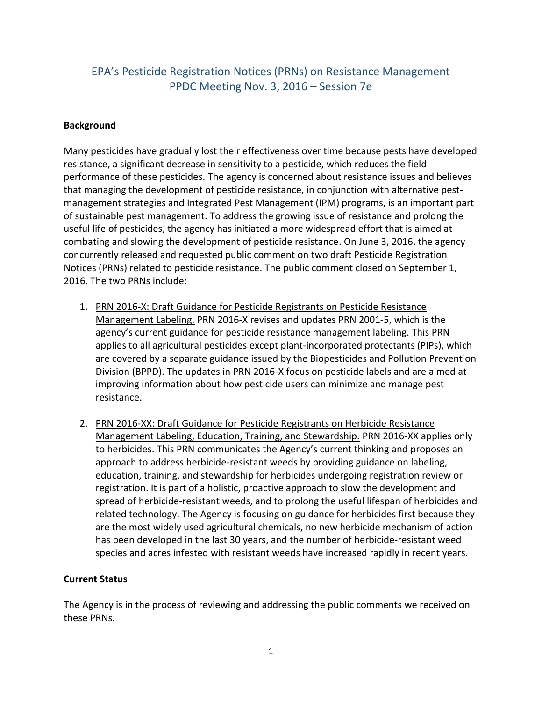## EPA's Pesticide Registration Notices (PRNs) on Resistance Management PPDC Meeting Nov. 3, 2016 – Session 7e

## **Background**

Many pesticides have gradually lost their effectiveness over time because pests have developed resistance, a significant decrease in sensitivity to a pesticide, which reduces the field performance of these pesticides. The agency is concerned about resistance issues and believes that managing the development of pesticide resistance, in conjunction with alternative pestmanagement strategies and Integrated Pest Management (IPM) programs, is an important part of sustainable pest management. To address the growing issue of resistance and prolong the useful life of pesticides, the agency has initiated a more widespread effort that is aimed at combating and slowing the development of pesticide resistance. On June 3, 2016, the agency concurrently released and requested public comment on two draft Pesticide Registration Notices (PRNs) related to pesticide resistance. The public comment closed on September 1, 2016. The two PRNs include:

- 1. PRN 2016-X: Draft Guidance for Pesticide Registrants on Pesticide Resistance Management Labeling. PRN 2016-X revises and updates PRN 2001-5, which is the agency's current guidance for pesticide resistance management labeling. This PRN applies to all agricultural pesticides except plant-incorporated protectants (PIPs), which are covered by a separate guidance issued by the Biopesticides and Pollution Prevention Division (BPPD). The updates in PRN 2016-X focus on pesticide labels and are aimed at improving information about how pesticide users can minimize and manage pest resistance.
- 2. PRN 2016-XX: Draft Guidance for Pesticide Registrants on Herbicide Resistance Management Labeling, Education, Training, and Stewardship. PRN 2016-XX applies only to herbicides. This PRN communicates the Agency's current thinking and proposes an approach to address herbicide-resistant weeds by providing guidance on labeling, education, training, and stewardship for herbicides undergoing registration review or registration. It is part of a holistic, proactive approach to slow the development and spread of herbicide-resistant weeds, and to prolong the useful lifespan of herbicides and related technology. The Agency is focusing on guidance for herbicides first because they are the most widely used agricultural chemicals, no new herbicide mechanism of action has been developed in the last 30 years, and the number of herbicide-resistant weed species and acres infested with resistant weeds have increased rapidly in recent years.

## **Current Status**

The Agency is in the process of reviewing and addressing the public comments we received on these PRNs.